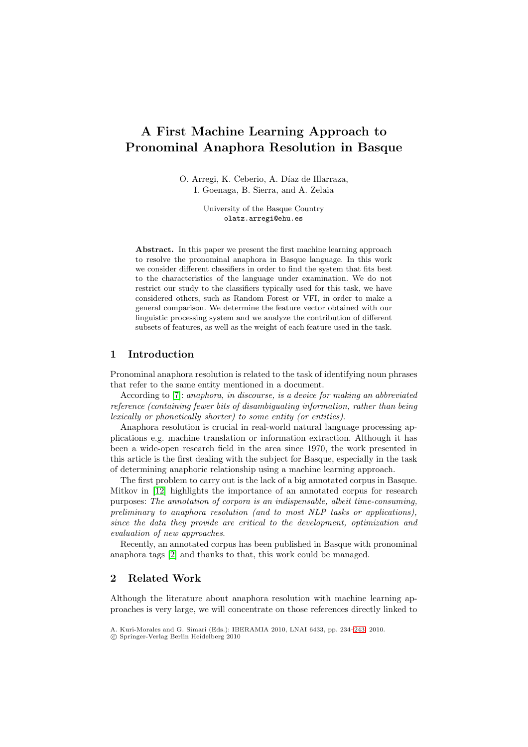# **A First Machine Learning Approach to Pronominal Anaphora Resolution in Basque**

O. Arregi, K. Ceberio, A. Díaz de Illarraza, I. Goenaga, B. Sierra, and A. Zelaia

> University of the Basque Country olatz.arregi@ehu.es

**Abstract.** In this paper we present the first machine learning approach to resolve the pronominal anaphora in Basque language. In this work we consider different classifiers in order to find the system that fits best to the characteristics of the language under examination. We do not restrict our study to the classifiers typically used for this task, we have considered others, such as Random Forest or VFI, in order to make a general comparison. We determine the feature vector obtained with our linguistic processing system and we analyze the contribution of different subsets of features, as well as the weight of each feature used in the task.

# **1 Introduction**

Pronominal anaphora resolution is related to the task of identifying noun phrases that refer to the same entity mentioned in a document.

According to [7]: *anaphora, in discourse, is a device for making an abbreviated reference (containing fewer bits of disambiguating information, rather than being lexically or phonetically shorter) to some entity (or entities)*.

Anaphora resolution is crucial in real-world natural language processing applications e.g. [ma](#page-8-0)chine translation or information extraction. Although it has been a wide-open research field in the area since 1970, the work presented in this article is the first dealing with the subject for Basque, especially in the task of determining anaphoric relationship using a machine learning approach.

The first problem to carry out is the lack of a big annotated corpus in Basque. Mitkov in [12] highlights the importance of an annotated corpus for research purposes: *The annotation of corpora is an indispensable, albeit time-consuming, preliminary to anaphora resolution (and to most NLP tasks or applications), since the data they provide are critical to the development, optimization and evaluation [of n](#page-9-0)ew approaches*.

Recently, an annotated corpus has been published in Basque with pronominal anaphora tags [2] and thanks to that, this work could be managed.

# **2 Related Work**

Although the l[ite](#page-8-1)rature about anaphora resolution with machine learning approaches is very large, we will concentrate on those references directly linked to

A. Kuri-Morales and G. Simari (Eds.): IBERAMIA 2010, LNAI 6433, pp. 234–243, 2010.

<sup>-</sup>c Springer-Verlag Berlin Heidelberg 2010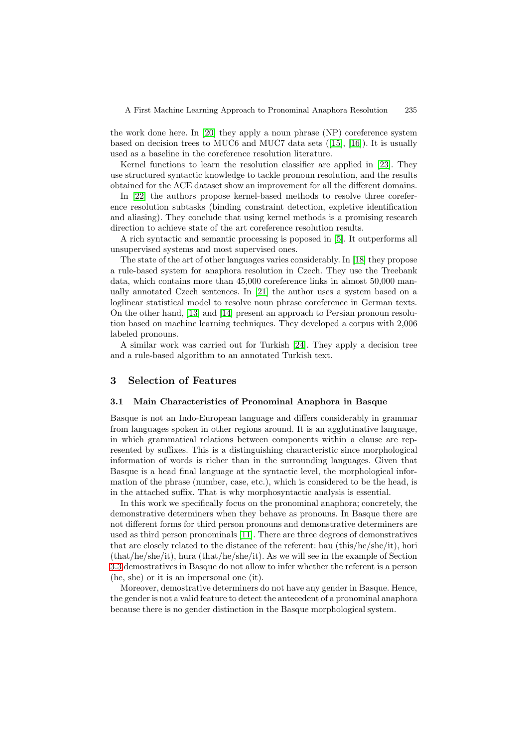the work done here. In [20] they apply a noun phrase (NP) coreference system based on decision trees to MUC6 and MUC7 data sets ([15], [16]). It is usually used as a baseline in the coreference resolution literature.

Kernel functions to learn the resolution classifier are applied in [23]. They use structured syntactic [kno](#page-9-1)wledge to tackle pronoun resolution, and the results obtained for the ACE dataset show an improvement for al[l th](#page-9-2)e [diff](#page-9-3)erent domains.

In [22] the authors propose kernel-based methods to resolve three coreference resolution subtasks (binding constraint detection, expletive ide[ntifi](#page-9-4)cation and aliasing). They conclude that using kernel methods is a promising research direction to achieve state of the art coreference resolution results.

A r[ich](#page-9-5) syntactic and semantic processing is poposed in [5]. It outperforms all unsupervised systems and most supervised ones.

The state of the art of other languages varies considerably. In [18] they propose a rule-based system for anaphora resolution in Czech. They use the Treebank data, which contains more than 45,000 coreference links i[n a](#page-8-2)lmost 50,000 manually annotated Czech sentences. In [21] the author uses a system based on a loglinear statistical model to resolve noun phrase coreference i[n G](#page-9-6)erman texts. On the other hand, [13] and [14] present an approach to Persian pronoun resolution based on machine learning techniques. They developed a corpus with 2,006 labeled pronouns.

A similar work was carried out for Turkish [24]. They apply a decision tree and a rule-based al[gori](#page-9-7)thm t[o a](#page-9-8)n annotated Turkish text.

# **3 Selection of Features**

#### **3.1 Main Characteristics of Pronominal Anaphora in Basque**

Basque is not an Indo-European language and differs considerably in grammar from languages spoken in other regions around. It is an agglutinative language, in which grammatical relations between components within a clause are represented by suffixes. This is a distinguishing characteristic since morphological information of words is richer than in the surrounding languages. Given that Basque is a head final language at the syntactic level, the morphological information of the phrase (number, case, etc.), which is considered to be the head, is in the attached suffix. That is why morphosyntactic analysis is essential.

In this work we specifically focus on the pronominal anaphora; concretely, the demonstrative determiners when they behave as pronouns. In Basque there are not different forms for third person pronouns and demonstrative determiners are used as third person pronominals [11]. There are three degrees of demonstratives that are closely related to the distance of the referent: hau (this/he/she/it), hori (that/he/she/it), hura (that/he/she/it). As we will see in the example of Section 3.3 demostratives in Basque do not allow to infer whether the referent is a person (he, she) or it is an impersonal o[ne \(](#page-9-9)it).

Moreover, demostrative determiners do not have any gender in Basque. Hence, the gender is not a valid feature to detect the antecedent of a pronominal anaphora [bec](#page-3-0)ause there is no gender distinction in the Basque morphological system.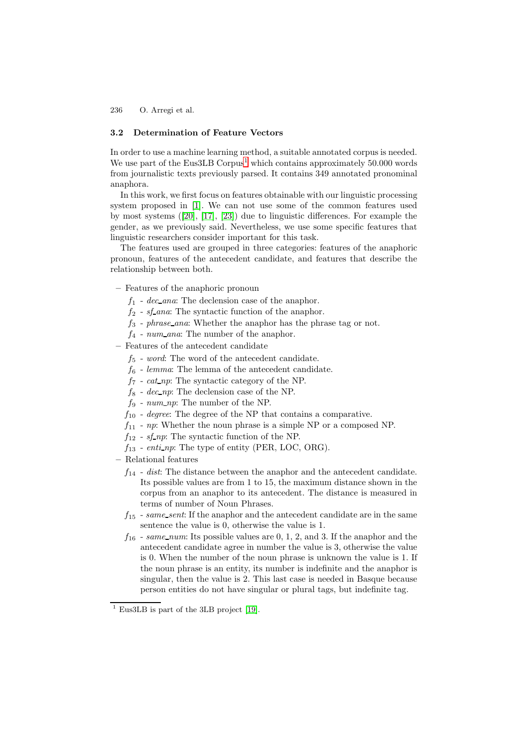## **3.2 Determination of Feature Vectors**

In order to use a machine learning method, a suitable annotated corpus is needed. We use part of the Eus $3LB$  Corpus<sup>1</sup> which contains approximately 50.000 words from journalistic texts previously parsed. It contains 349 annotated pronominal anaphora.

In this work, we first focus on features obtainable with our linguistic processing system proposed in [1]. We can [no](#page-2-0)t use some of the common features used by most systems ([20], [17], [23]) due to linguistic differences. For example the gender, as we previously said. Nevertheless, we use some specific features that linguistic researchers consider important for this task.

The features used [ar](#page-8-3)e grouped in three categories: features of the anaphoric pronoun, features [of t](#page-9-1)h[e a](#page-9-10)nt[ece](#page-9-4)dent candidate, and features that describe the relationship between both.

- **–** Features of the anaphoric pronoun
	- *f*<sup>1</sup> *dec ana*: The declension case of the anaphor.
	- *f*<sup>2</sup> *sf ana*: The syntactic function of the anaphor.
	- *f*<sup>3</sup> *phrase ana*: Whether the anaphor has the phrase tag or not.
	- *f*<sup>4</sup> *num ana*: The number of the anaphor.
- **–** Features of the antecedent candidate
	- *f*<sup>5</sup> *word*: The word of the antecedent candidate.
	- *f*<sup>6</sup> *lemma*: The lemma of the antecedent candidate.
	- *f*<sup>7</sup> *cat np*: The syntactic category of the NP.
	- *f*<sup>8</sup> *dec np*: The declension case of the NP.
	- *f*<sup>9</sup> *num np*: The number of the NP.
	- *f*<sup>10</sup> *degree*: The degree of the NP that contains a comparative.
	- *f*<sup>11</sup> *np*: Whether the noun phrase is a simple NP or a composed NP.
	- $f_{12}$  *sf\_np*: The syntactic function of the NP.
	- *f*<sup>13</sup> *enti np*: The type of entity (PER, LOC, ORG).
- **–** Relational features
	- *f*<sup>14</sup> *dist*: The distance between the anaphor and the antecedent candidate. Its possible values are from 1 to 15, the maximum distance shown in the corpus from an anaphor to its antecedent. The distance is measured in terms of number of Noun Phrases.
	- *f*<sup>15</sup> *same sent*: If the anaphor and the antecedent candidate are in the same sentence the value is 0, otherwise the value is 1.
	- *f*<sup>16</sup> *same num*: Its possible values are 0, 1, 2, and 3. If the anaphor and the antecedent candidate agree in number the value is 3, otherwise the value is 0. When the number of the noun phrase is unknown the value is 1. If the noun phrase is an entity, its number is indefinite and the anaphor is singular, then the value is 2. This last case is needed in Basque because person entities do not have singular or plural tags, but indefinite tag.

<span id="page-2-0"></span> $1$  Eus3LB is part of the 3LB project [19].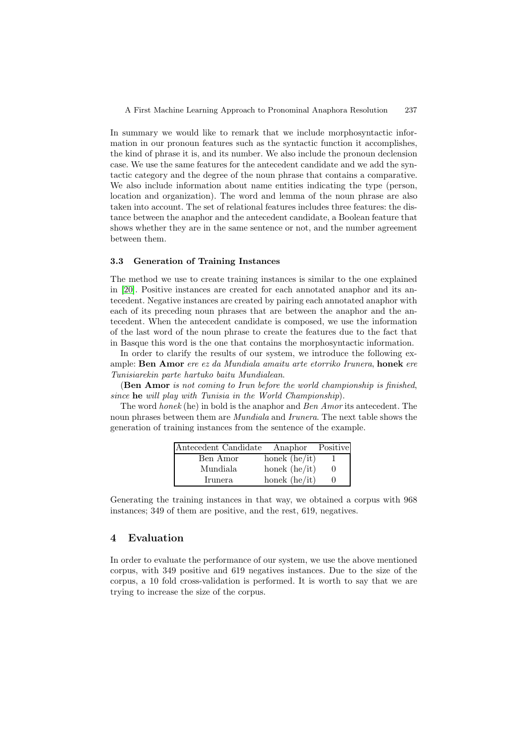In summary we would like to remark that we include morphosyntactic information in our pronoun features such as the syntactic function it accomplishes, the kind of phrase it is, and its number. We also include the pronoun declension case. We use the same features for the antecedent candidate and we add the syntactic category and the degree of the noun phrase that contains a comparative. We also include information about name entities indicating the type (person, location and organization). The word and lemma of the noun phrase are also taken into account. The set of relational features includes three features: the distance between the anaphor and the antecedent candidate, a Boolean feature that shows whether they are in the same sentence or not, and the number agreement between them.

# **3.3 Generation of Training Instances**

<span id="page-3-0"></span>The method we use to create training instances is similar to the one explained in [20]. Positive instances are created for each annotated anaphor and its antecedent. Negative instances are created by pairing each annotated anaphor with each of its preceding noun phrases that are between the anaphor and the antecedent. When the antecedent candidate is composed, we use the information of [the](#page-9-1) last word of the noun phrase to create the features due to the fact that in Basque this word is the one that contains the morphosyntactic information.

In order to clarify the results of our system, we introduce the following example: **Ben Amor** *ere ez da Mundiala amaitu arte etorriko Irunera*, **honek** *ere Tunisiarekin parte hartuko baitu Mundialean*.

(**Ben Amor** *is not coming to Irun before the world championship is finished*, *since* **he** *will play with Tunisia in the World Championship*).

The word *honek* (he) in bold is the anaphor and *Ben Amor* its antecedent. The noun phrases between them are *Mundiala* and *Irunera*. The next table shows the generation of training instances from the sentence of the example.

| Antecedent Candidate | Anaphor Positive |  |
|----------------------|------------------|--|
| Ben Amor             | honek $(he/it)$  |  |
| Mundiala             | honek $(he/it)$  |  |
| Irunera              | honek $(he/it)$  |  |

Generating the training instances in that way, we obtained a corpus with 968 instances; 349 of them are positive, and the rest, 619, negatives.

# **4 Evaluation**

In order to evaluate the performance of our system, we use the above mentioned corpus, with 349 positive and 619 negatives instances. Due to the size of the corpus, a 10 fold cross-validation is performed. It is worth to say that we are trying to increase the size of the corpus.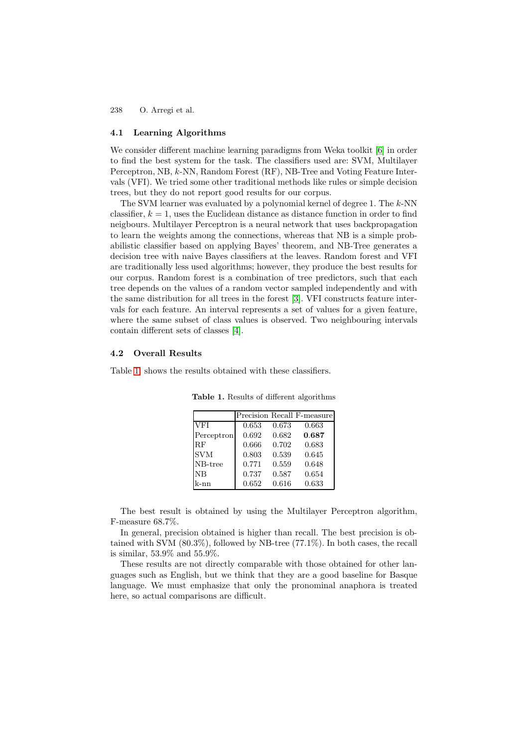#### **4.1 Learning Algorithms**

We consider different machine learning paradigms from Weka toolkit [6] in order to find the best system for the task. The classifiers used are: SVM, Multilayer Perceptron, NB, *k*-NN, Random Forest (RF), NB-Tree and Voting Feature Intervals (VFI). We tried some other traditional methods like rules or simple decision trees, but they do not report good results for our corpus.

The SVM learner was evaluated by a polynomial kernel of degree 1. The *k*-NN classifier,  $k = 1$ , uses the Euclidean distance as distance function in order to find neigbours. Multilayer Perceptron is a neural network that uses backpropagation to learn the weights among the connections, whereas that NB is a simple probabilistic classifier based on applying Bayes' theorem, and NB-Tree generates a decision tree with naive Bayes classifiers at the leaves. Random forest and VFI are traditionally less used algorithms; however, they produce the best results for our corpus. Random forest is a combination of tree predictors, such that each tree depends on the values of a random vector sampled independently and with the same distribution for all trees in the forest [3]. VFI constructs feature intervals for each feature. An interval represents a set of values for a given feature, where the same subset of class values is observed. Two neighbouring intervals contain different sets of classes [4].

Table 1. shows the results obtai[ne](#page-8-4)d with these classifiers.

|              |       |       | Precision Recall F-measure |
|--------------|-------|-------|----------------------------|
| <b>VFI</b>   | 0.653 | 0.673 | 0.663                      |
| Perceptron   | 0.692 | 0.682 | 0.687                      |
| RF           | 0.666 | 0.702 | 0.683                      |
| <b>SVM</b>   | 0.803 | 0.539 | 0.645                      |
| NB-tree      | 0.771 | 0.559 | 0.648                      |
| <b>NB</b>    | 0.737 | 0.587 | 0.654                      |
| <i>k</i> −nn | 0.652 | 0.616 | 0.633                      |

**Table 1.** Results of different algorithms

The best result is obtained by using the Multilayer Perceptron algorithm, F-measure 68.7%.

In general, precision obtained is higher than recall. The best precision is obtained with SVM (80.3%), followed by NB-tree (77.1%). In both cases, the recall is similar, 53.9% and 55.9%.

These results are not directly comparable with those obtained for other languages such as English, but we think that they are a good baseline for Basque language. We must emphasize that only the pronominal anaphora is treated here, so actual comparisons are difficult.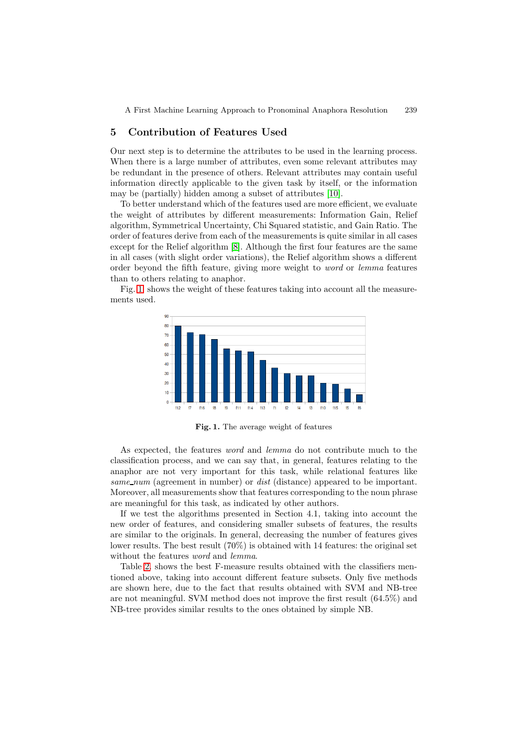# **5 Contribution of Features Used**

Our next step is to determine the attributes to be used in the learning process. When there is a large number of attributes, even some relevant attributes may be redundant in the presence of others. Relevant attributes may contain useful information directly applicable to the given task by itself, or the information may be (partially) hidden among a subset of attributes [10].

To better understand which of the features used are more efficient, we evaluate the weight of attributes by different measurements: Information Gain, Relief algorithm, Symmetrical Uncertainty, Chi Squared statistic, and Gain Ratio. The order of features derive from each of the measurements is [qui](#page-8-5)te similar in all cases except for the Relief algorithm [8]. Although the first four features are the same in all cases (with slight order variations), the Relief algorithm shows a different order beyond the fifth feature, giving more weight to *word* or *lemma* features than to others relating to anaphor.

Fig. 1. shows the weight of t[hes](#page-8-6)e features taking into account all the measurements used.



**Fig. 1.** The average weight of features

As expected, the features *word* and *lemma* do not contribute much to the classification process, and we can say that, in general, features relating to the anaphor are not very important for this task, while relational features like *same num* (agreement in number) or *dist* (distance) appeared to be important. Moreover, all measurements show that features corresponding to the noun phrase are meaningful for this task, as indicated by other authors.

If we test the algorithms presented in Section 4.1, taking into account the new order of features, and considering smaller subsets of features, the results are similar to the originals. In general, decreasing the number of features gives lower results. The best result (70%) is obtained with 14 features: the original set without the features *word* and *lemma*.

Table 2. shows the best F-measure results obtained with the classifiers mentioned above, taking into account different feature subsets. Only five methods are shown here, due to the fact that results obtained with SVM and NB-tree are not meaningful. SVM method does not improve the first result (64.5%) and NB-tree [pr](#page-6-0)ovides similar results to the ones obtained by simple NB.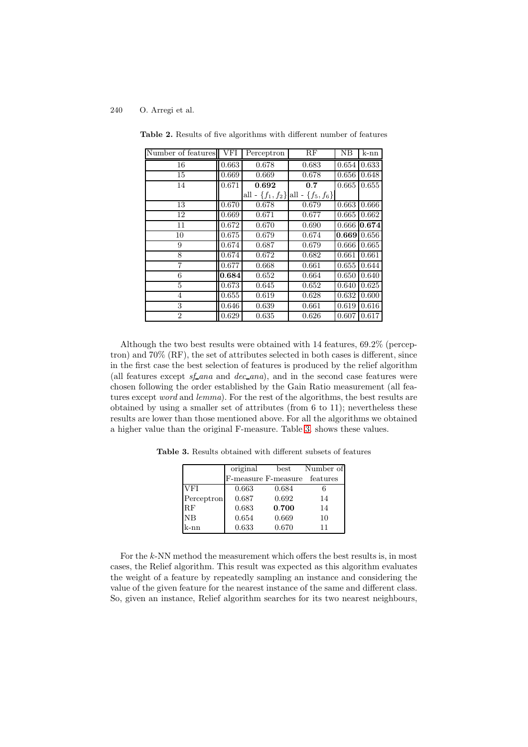<span id="page-6-0"></span>

| Number of features | VFI                | Perceptron           | RF                  | $_{\rm NB}$ | k-nn               |
|--------------------|--------------------|----------------------|---------------------|-------------|--------------------|
| 16                 | 0.663              | 0.678                | 0.683               | 0.654       | 0.633              |
| 15                 | 0.669              | 0.669                | 0.678               | 0.656       | 0.648              |
| 14                 | 0.671              | 0.692                | 0.7                 | 0.665       | $\overline{0.655}$ |
|                    |                    | all - $\{f_1, f_2\}$ | all - $\{f_5,f_6\}$ |             |                    |
| 13                 | $\overline{0.670}$ | 0.678                | 0.679               | 0.663       | 0.666              |
| 12                 | 0.669              | 0.671                | 0.677               | 0.665       | 0.662              |
| 11                 | 0.672              | 0.670                | 0.690               |             | 0.666 0.674        |
| 10                 | 0.675              | 0.679                | 0.674               | 0.669       | 0.656              |
| 9                  | 0.674              | 0.687                | 0.679               | 0.666       | 0.665              |
| 8                  | 0.674              | 0.672                | 0.682               | 0.661       | 0.661              |
| $\overline{7}$     | 0.677              | 0.668                | 0.661               | 0.655       | 0.644              |
| 6                  | 0.684              | 0.652                | 0.664               | 0.650       | 0.640              |
| 5                  | 0.673              | 0.645                | 0.652               | 0.640       | 0.625              |
| 4                  | 0.655              | 0.619                | 0.628               | 0.632       | 0.600              |
| 3                  | 0.646              | 0.639                | 0.661               | 0.619       | 0.616              |
| $\overline{2}$     | 0.629              | 0.635                | 0.626               | 0.607       | 0.617              |

**Table 2.** Results of five algorithms with different number of features

Although the two best results were obtained with 14 features, 69.2% (perceptron) and 70% (RF), the set of attributes selected in both cases is different, since in the first case the best selection of features is produced by the relief algorithm (all features except *sf ana* and *dec ana*), and in the second case features were chosen following the order established by the Gain Ratio measurement (all features except *word* and *lemma*). For the rest of the algorithms, the best results are obtained by using a smaller set of attributes (from 6 to 11); nevertheless these results are lower than those mentioned above. For all the algorithms we obtained a higher value than the original F-measure. Table 3. shows these values.

**Table 3.** Results obtained with different subsets of features

<span id="page-6-1"></span>

|            | original | best                         | Number of |
|------------|----------|------------------------------|-----------|
|            |          | F-measure F-measure features |           |
| <b>VFI</b> | 0.663    | 0.684                        |           |
| Perceptron | 0.687    | 0.692                        | 14        |
| RF         | 0.683    | 0.700                        | 14        |
| NB         | 0.654    | 0.669                        | 10        |
| k-nn       | 0.633    | 0.670                        | 11        |

For the *k*-NN method the measurement which offers the best results is, in most cases, the Relief algorithm. This result was expected as this algorithm evaluates the weight of a feature by repeatedly sampling an instance and considering the value of the given feature for the nearest instance of the same and different class. So, given an instance, Relief algorithm searches for its two nearest neighbours,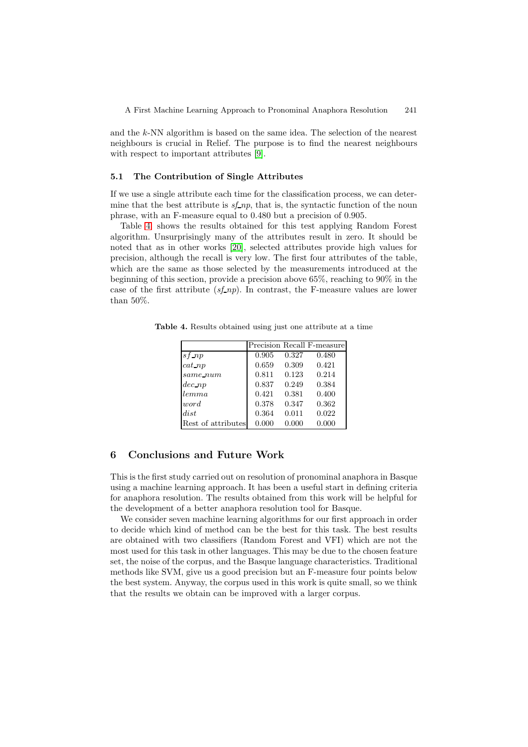and the *k*-NN algorithm is based on the same idea. The selection of the nearest neighbours is crucial in Relief. The purpose is to find the nearest neighbours with respect to important attributes [9].

## **5.1 The Contribution of Single Attributes**

If we use a single attribute each time [for](#page-8-7) the classification process, we can determine that the best attribute is *sf np*, that is, the syntactic function of the noun phrase, with an F-measure equal to 0.480 but a precision of 0.905.

Table 4. shows the results obtained for this test applying Random Forest algorithm. Unsurprisingly many of the attributes result in zero. It should be noted that as in other works [20], selected attributes provide high values for precision, although the recall is very low. The first four attributes of the table, which ar[e](#page-7-0) the same as those selected by the measurements introduced at the beginning of this section, provide a precision above 65%, reaching to 90% in the case of the first attribute  $(sf_np)$ . In contrast, the F-measure values are lower than 50%.

**Table 4.** Results obtained using just one attribute at a time

<span id="page-7-0"></span>

|                    |       |       | Precision Recall F-measure |
|--------------------|-------|-------|----------------------------|
| $sf$ $np$          | 0.905 | 0.327 | 0.480                      |
| $cat$ $np$         | 0.659 | 0.309 | 0.421                      |
| same num           | 0.811 | 0.123 | 0.214                      |
| $dec$ np           | 0.837 | 0.249 | 0.384                      |
| lemma              | 0.421 | 0.381 | 0.400                      |
| word               | 0.378 | 0.347 | 0.362                      |
| dist               | 0.364 | 0.011 | 0.022                      |
| Rest of attributes | 0.000 | 0.000 | 0.000                      |

# **6 Conclusions and Future Work**

This is the first study carried out on resolution of pronominal anaphora in Basque using a machine learning approach. It has been a useful start in defining criteria for anaphora resolution. The results obtained from this work will be helpful for the development of a better anaphora resolution tool for Basque.

We consider seven machine learning algorithms for our first approach in order to decide which kind of method can be the best for this task. The best results are obtained with two classifiers (Random Forest and VFI) which are not the most used for this task in other languages. This may be due to the chosen feature set, the noise of the corpus, and the Basque language characteristics. Traditional methods like SVM, give us a good precision but an F-measure four points below the best system. Anyway, the corpus used in this work is quite small, so we think that the results we obtain can be improved with a larger corpus.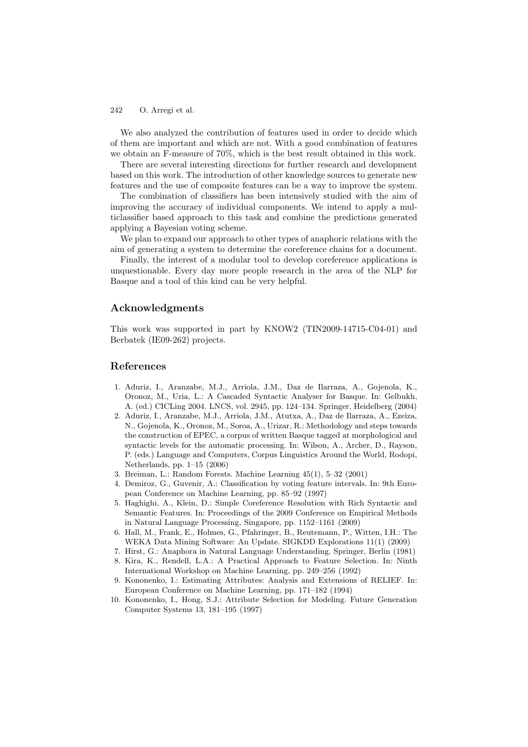We also analyzed the contribution of features used in order to decide which of them are important and which are not. With a good combination of features we obtain an F-measure of 70%, which is the best result obtained in this work.

There are several interesting directions for further research and development based on this work. The introduction of other knowledge sources to generate new features and the use of composite features can be a way to improve the system.

The combination of classifiers has been intensively studied with the aim of improving the accuracy of individual components. We intend to apply a multiclassifier based approach to this task and combine the predictions generated applying a Bayesian voting scheme.

We plan to expand our approach to other types of anaphoric relations with the aim of generating a system to determine the coreference chains for a document.

Finally, the interest of a modular tool to develop coreference applications is unquestionable. Every day more people research in the area of the NLP for Basque and a tool of this kind can be very helpful.

# **Acknowledgments**

This work was supported in part by KNOW2 (TIN2009-14715-C04-01) and Berbatek (IE09-262) projects.

# <span id="page-8-3"></span>**References**

- 1. Aduriz, I., Aranzabe, M.J., Arriola, J.M., Daz de Ilarraza, A., Gojenola, K., Oronoz, M., Uria, L.: A Cascaded Syntactic Analyser for Basque. In: Gelbukh, A. (ed.) CICLing 2004. LNCS, vol. 2945, pp. 124–134. Springer, Heidelberg (2004)
- <span id="page-8-1"></span>2. Aduriz, I., Aranzabe, M.J., Arriola, J.M., Atutxa, A., Daz de Ilarraza, A., Ezeiza, N., Gojenola, K., Oronoz, M., Soroa, A., Urizar, R.: Methodology and steps towards the construction of EPEC, a corpus of written Basque tagged at morphological and syntactic levels for the automatic processing. In: Wilson, A., Archer, D., Rayson, P. (eds.) Language and Computers, Corpus Linguistics Around the World, Rodopi, Netherlands, pp. 1–15 (2006)
- <span id="page-8-4"></span>3. Breiman, L.: Random Forests. Machine Learning 45(1), 5–32 (2001)
- 4. Demiroz, G., Guvenir, A.: Classification by voting feature intervals. In: 9th European Conference on Machine Learning, pp. 85–92 (1997)
- <span id="page-8-2"></span>5. Haghighi, A., Klein, D.: Simple Coreference Resolution with Rich Syntactic and Semantic Features. In: Proceedings of the 2009 Conference on Empirical Methods in Natural Language Processing, Singapore, pp. 1152–1161 (2009)
- 6. Hall, M., Frank, E., Holmes, G., Pfahringer, B., Reutemann, P., Witten, I.H.: The WEKA Data Mining Software: An Update. SIGKDD Explorations 11(1) (2009)
- <span id="page-8-6"></span><span id="page-8-0"></span>7. Hirst, G.: Anaphora in Natural Language Understanding. Springer, Berlin (1981)
- 8. Kira, K., Rendell, L.A.: A Practical Approach to Feature Selection. In: Ninth International Workshop on Machine Learning, pp. 249–256 (1992)
- <span id="page-8-7"></span>9. Kononenko, I.: Estimating Attributes: Analysis and Extensions of RELIEF. In: European Conference on Machine Learning, pp. 171–182 (1994)
- <span id="page-8-5"></span>10. Kononenko, I., Hong, S.J.: Attribute Selection for Modeling. Future Generation Computer Systems 13, 181–195 (1997)